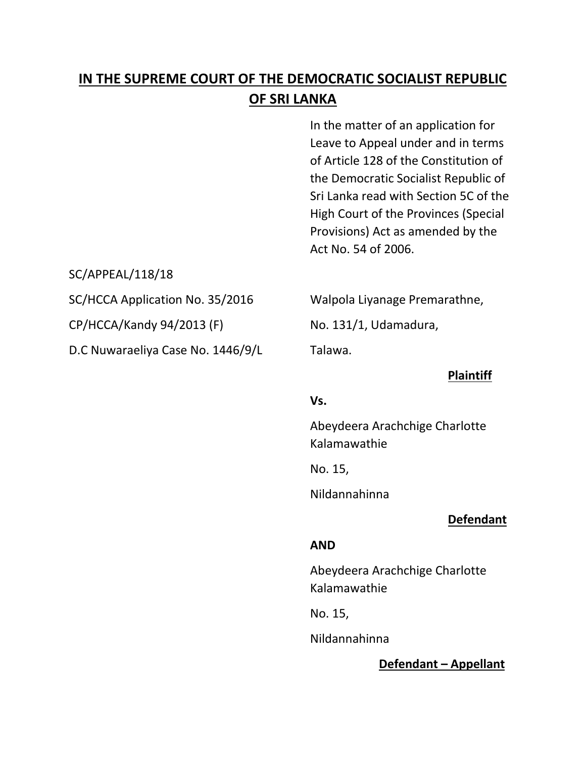# **IN THE SUPREME COURT OF THE DEMOCRATIC SOCIALIST REPUBLIC OF SRI LANKA**

In the matter of an application for Leave to Appeal under and in terms of Article 128 of the Constitution of the Democratic Socialist Republic of Sri Lanka read with Section 5C of the High Court of the Provinces (Special Provisions) Act as amended by the Act No. 54 of 2006.

SC/APPEAL/118/18

 $CP/HCCA/K$ andy 94/2013 (F) No. 131/1, Udamadura,

D.C Nuwaraeliya Case No. 1446/9/L Talawa.

SC/HCCA Application No. 35/2016 Walpola Liyanage Premarathne,

#### **Plaintiff**

#### **Vs.**

Abeydeera Arachchige Charlotte Kalamawathie

No. 15,

Nildannahinna

## **Defendant**

## **AND**

Abeydeera Arachchige Charlotte Kalamawathie

No. 15,

Nildannahinna

## **Defendant – Appellant**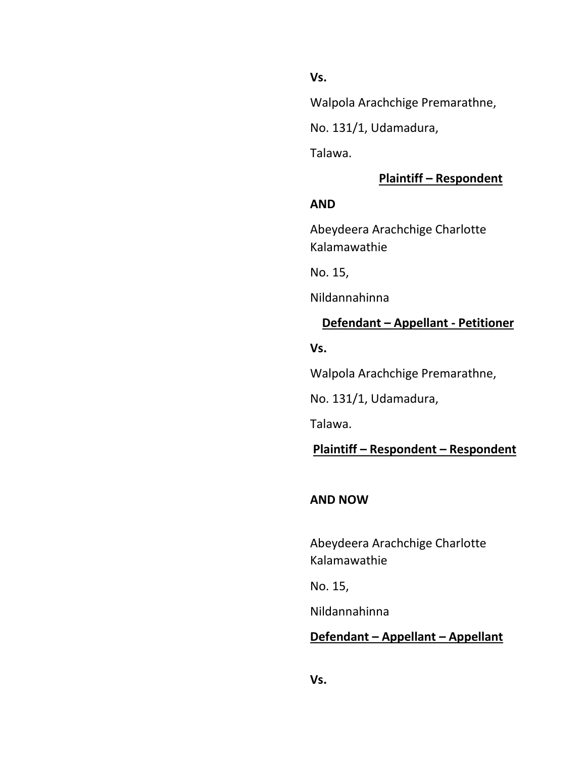**Vs.**

Walpola Arachchige Premarathne,

No. 131/1, Udamadura,

Talawa.

# **Plaintiff – Respondent**

#### **AND**

Abeydeera Arachchige Charlotte Kalamawathie

No. 15,

Nildannahinna

## **Defendant – Appellant - Petitioner**

**Vs.**

Walpola Arachchige Premarathne,

No. 131/1, Udamadura,

Talawa.

## **Plaintiff – Respondent – Respondent**

## **AND NOW**

Abeydeera Arachchige Charlotte Kalamawathie

No. 15,

Nildannahinna

# **Defendant – Appellant – Appellant**

**Vs.**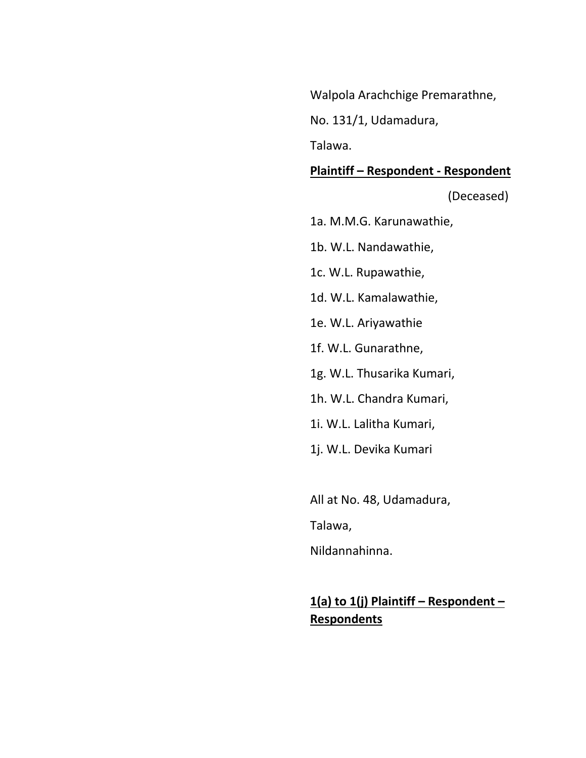Walpola Arachchige Premarathne,

No. 131/1, Udamadura,

Talawa.

#### **Plaintiff – Respondent - Respondent**

(Deceased)

1a. M.M.G. Karunawathie,

1b. W.L. Nandawathie,

1c. W.L. Rupawathie,

1d. W.L. Kamalawathie,

1e. W.L. Ariyawathie

1f. W.L. Gunarathne,

1g. W.L. Thusarika Kumari,

1h. W.L. Chandra Kumari,

1i. W.L. Lalitha Kumari,

1j. W.L. Devika Kumari

All at No. 48, Udamadura,

Talawa,

Nildannahinna.

# **1(a) to 1(j) Plaintiff – Respondent – Respondents**